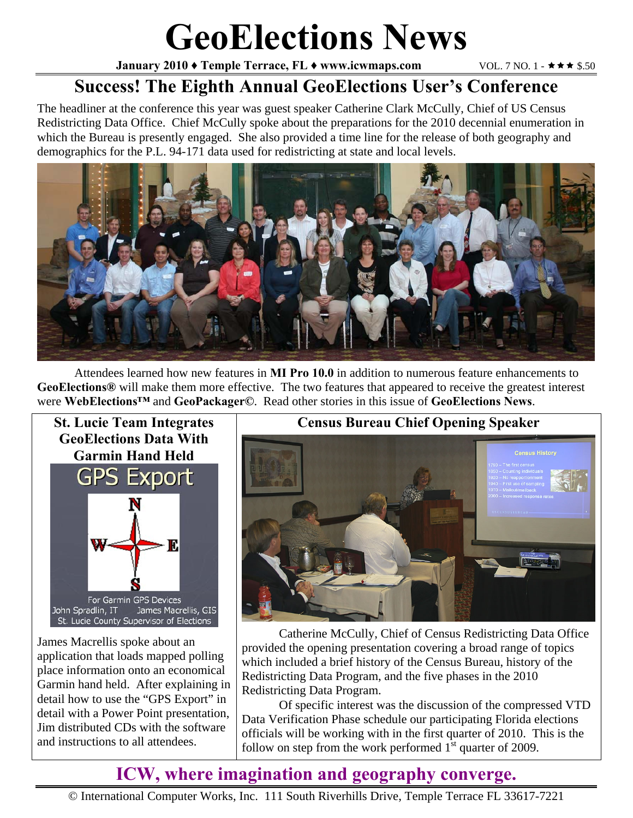# **GeoElections News**

**January 2010 ♦ Temple Terrace, FL ♦ www.icwmaps.com VOL. 7 NO. 1 -**  $\star \star \star$  **\$.50** 

## **Success! The Eighth Annual GeoElections User's Conference**

The headliner at the conference this year was guest speaker Catherine Clark McCully, Chief of US Census Redistricting Data Office. Chief McCully spoke about the preparations for the 2010 decennial enumeration in which the Bureau is presently engaged. She also provided a time line for the release of both geography and demographics for the P.L. 94-171 data used for redistricting at state and local levels.



 Attendees learned how new features in **MI Pro 10.0** in addition to numerous feature enhancements to **GeoElections®** will make them more effective. The two features that appeared to receive the greatest interest were **WebElections™** and **GeoPackager©**. Read other stories in this issue of **GeoElections News**.



James Macrellis spoke about an application that loads mapped polling place information onto an economical Garmin hand held. After explaining in detail how to use the "GPS Export" in detail with a Power Point presentation, Jim distributed CDs with the software and instructions to all attendees.

#### **Census Bureau Chief Opening Speaker**



 Catherine McCully, Chief of Census Redistricting Data Office provided the opening presentation covering a broad range of topics which included a brief history of the Census Bureau, history of the Redistricting Data Program, and the five phases in the 2010 Redistricting Data Program.

 Of specific interest was the discussion of the compressed VTD Data Verification Phase schedule our participating Florida elections officials will be working with in the first quarter of 2010. This is the follow on step from the work performed  $1<sup>st</sup>$  quarter of 2009.

## **ICW, where imagination and geography converge.**

© International Computer Works, Inc. 111 South Riverhills Drive, Temple Terrace FL 33617-7221